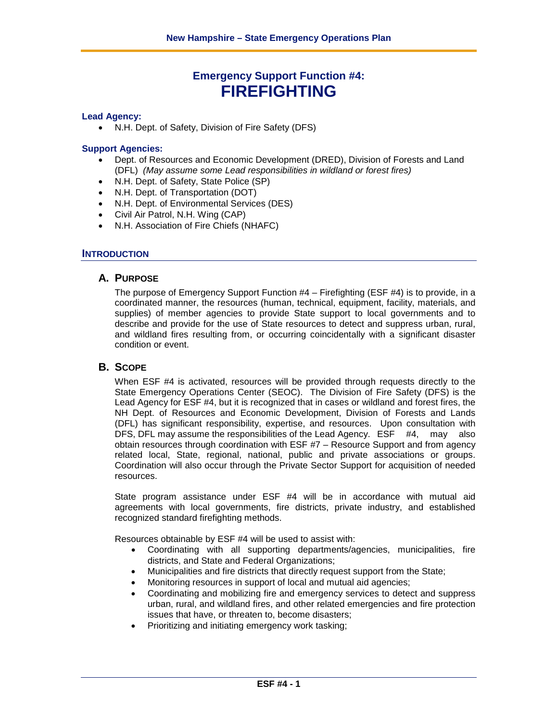# **Emergency Support Function #4: FIREFIGHTING**

#### **Lead Agency:**

• N.H. Dept. of Safety, Division of Fire Safety (DFS)

#### **Support Agencies:**

- Dept. of Resources and Economic Development (DRED), Division of Forests and Land (DFL) *(May assume some Lead responsibilities in wildland or forest fires)*
- N.H. Dept. of Safety, State Police (SP)
- N.H. Dept. of Transportation (DOT)
- N.H. Dept. of Environmental Services (DES)
- Civil Air Patrol, N.H. Wing (CAP)
- N.H. Association of Fire Chiefs (NHAFC)

#### **INTRODUCTION**

#### **A. PURPOSE**

The purpose of Emergency Support Function #4 – Firefighting (ESF #4) is to provide, in a coordinated manner, the resources (human, technical, equipment, facility, materials, and supplies) of member agencies to provide State support to local governments and to describe and provide for the use of State resources to detect and suppress urban, rural, and wildland fires resulting from, or occurring coincidentally with a significant disaster condition or event.

#### **B. SCOPE**

When ESF #4 is activated, resources will be provided through requests directly to the State Emergency Operations Center (SEOC). The Division of Fire Safety (DFS) is the Lead Agency for ESF #4, but it is recognized that in cases or wildland and forest fires, the NH Dept. of Resources and Economic Development, Division of Forests and Lands (DFL) has significant responsibility, expertise, and resources. Upon consultation with DFS, DFL may assume the responsibilities of the Lead Agency. ESF #4, may also obtain resources through coordination with ESF #7 – Resource Support and from agency related local, State, regional, national, public and private associations or groups. Coordination will also occur through the Private Sector Support for acquisition of needed resources.

State program assistance under ESF #4 will be in accordance with mutual aid agreements with local governments, fire districts, private industry, and established recognized standard firefighting methods.

Resources obtainable by ESF #4 will be used to assist with:

- Coordinating with all supporting departments/agencies, municipalities, fire districts, and State and Federal Organizations;
- Municipalities and fire districts that directly request support from the State;
- Monitoring resources in support of local and mutual aid agencies;
- Coordinating and mobilizing fire and emergency services to detect and suppress urban, rural, and wildland fires, and other related emergencies and fire protection issues that have, or threaten to, become disasters;
- Prioritizing and initiating emergency work tasking;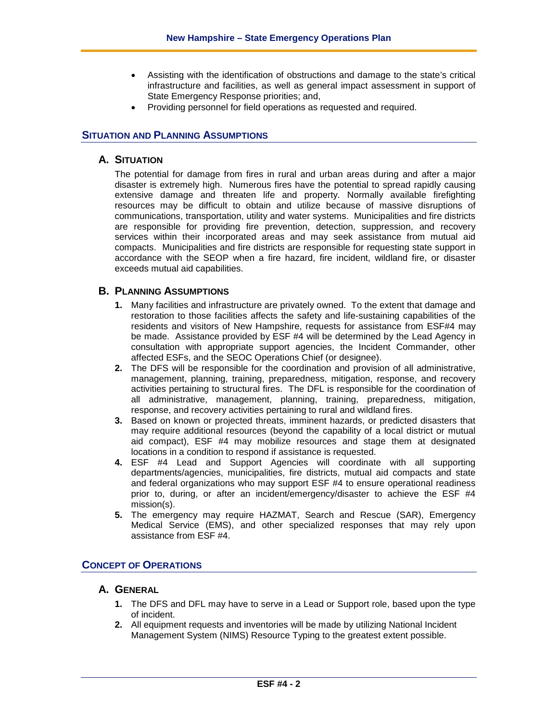- Assisting with the identification of obstructions and damage to the state's critical infrastructure and facilities, as well as general impact assessment in support of State Emergency Response priorities; and,
- Providing personnel for field operations as requested and required.

## **SITUATION AND PLANNING ASSUMPTIONS**

## **A. SITUATION**

The potential for damage from fires in rural and urban areas during and after a major disaster is extremely high. Numerous fires have the potential to spread rapidly causing extensive damage and threaten life and property. Normally available firefighting resources may be difficult to obtain and utilize because of massive disruptions of communications, transportation, utility and water systems. Municipalities and fire districts are responsible for providing fire prevention, detection, suppression, and recovery services within their incorporated areas and may seek assistance from mutual aid compacts. Municipalities and fire districts are responsible for requesting state support in accordance with the SEOP when a fire hazard, fire incident, wildland fire, or disaster exceeds mutual aid capabilities.

## **B. PLANNING ASSUMPTIONS**

- **1.** Many facilities and infrastructure are privately owned. To the extent that damage and restoration to those facilities affects the safety and life-sustaining capabilities of the residents and visitors of New Hampshire, requests for assistance from ESF#4 may be made. Assistance provided by ESF #4 will be determined by the Lead Agency in consultation with appropriate support agencies, the Incident Commander, other affected ESFs, and the SEOC Operations Chief (or designee).
- **2.** The DFS will be responsible for the coordination and provision of all administrative, management, planning, training, preparedness, mitigation, response, and recovery activities pertaining to structural fires. The DFL is responsible for the coordination of all administrative, management, planning, training, preparedness, mitigation, response, and recovery activities pertaining to rural and wildland fires.
- **3.** Based on known or projected threats, imminent hazards, or predicted disasters that may require additional resources (beyond the capability of a local district or mutual aid compact), ESF #4 may mobilize resources and stage them at designated locations in a condition to respond if assistance is requested.
- **4.** ESF #4 Lead and Support Agencies will coordinate with all supporting departments/agencies, municipalities, fire districts, mutual aid compacts and state and federal organizations who may support ESF #4 to ensure operational readiness prior to, during, or after an incident/emergency/disaster to achieve the ESF #4 mission(s).
- **5.** The emergency may require HAZMAT, Search and Rescue (SAR), Emergency Medical Service (EMS), and other specialized responses that may rely upon assistance from ESF #4.

## **CONCEPT OF OPERATIONS**

## **A. GENERAL**

- **1.** The DFS and DFL may have to serve in a Lead or Support role, based upon the type of incident.
- **2.** All equipment requests and inventories will be made by utilizing National Incident Management System (NIMS) Resource Typing to the greatest extent possible.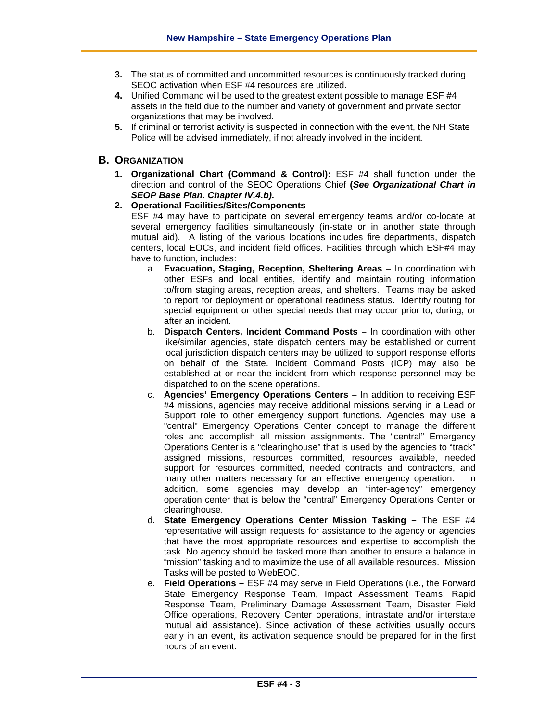- **3.** The status of committed and uncommitted resources is continuously tracked during SEOC activation when ESF #4 resources are utilized.
- **4.** Unified Command will be used to the greatest extent possible to manage ESF #4 assets in the field due to the number and variety of government and private sector organizations that may be involved.
- **5.** If criminal or terrorist activity is suspected in connection with the event, the NH State Police will be advised immediately, if not already involved in the incident.

## **B. ORGANIZATION**

**1. Organizational Chart (Command & Control):** ESF #4 shall function under the direction and control of the SEOC Operations Chief **(***See Organizational Chart in SEOP Base Plan. Chapter IV.4.b)***.**

## **2. Operational Facilities/Sites/Components**

ESF #4 may have to participate on several emergency teams and/or co-locate at several emergency facilities simultaneously (in-state or in another state through mutual aid). A listing of the various locations includes fire departments, dispatch centers, local EOCs, and incident field offices. Facilities through which ESF#4 may have to function, includes:

- a. **Evacuation, Staging, Reception, Sheltering Areas –** In coordination with other ESFs and local entities, identify and maintain routing information to/from staging areas, reception areas, and shelters. Teams may be asked to report for deployment or operational readiness status. Identify routing for special equipment or other special needs that may occur prior to, during, or after an incident.
- b. **Dispatch Centers, Incident Command Posts –** In coordination with other like/similar agencies, state dispatch centers may be established or current local jurisdiction dispatch centers may be utilized to support response efforts on behalf of the State. Incident Command Posts (ICP) may also be established at or near the incident from which response personnel may be dispatched to on the scene operations.
- c. **Agencies' Emergency Operations Centers –** In addition to receiving ESF #4 missions, agencies may receive additional missions serving in a Lead or Support role to other emergency support functions. Agencies may use a "central" Emergency Operations Center concept to manage the different roles and accomplish all mission assignments. The "central" Emergency Operations Center is a "clearinghouse" that is used by the agencies to "track" assigned missions, resources committed, resources available, needed support for resources committed, needed contracts and contractors, and many other matters necessary for an effective emergency operation. In addition, some agencies may develop an "inter-agency" emergency operation center that is below the "central" Emergency Operations Center or clearinghouse.
- d. **State Emergency Operations Center Mission Tasking –** The ESF #4 representative will assign requests for assistance to the agency or agencies that have the most appropriate resources and expertise to accomplish the task. No agency should be tasked more than another to ensure a balance in "mission" tasking and to maximize the use of all available resources. Mission Tasks will be posted to WebEOC.
- e. **Field Operations –** ESF #4 may serve in Field Operations (i.e., the Forward State Emergency Response Team, Impact Assessment Teams: Rapid Response Team, Preliminary Damage Assessment Team, Disaster Field Office operations, Recovery Center operations, intrastate and/or interstate mutual aid assistance). Since activation of these activities usually occurs early in an event, its activation sequence should be prepared for in the first hours of an event.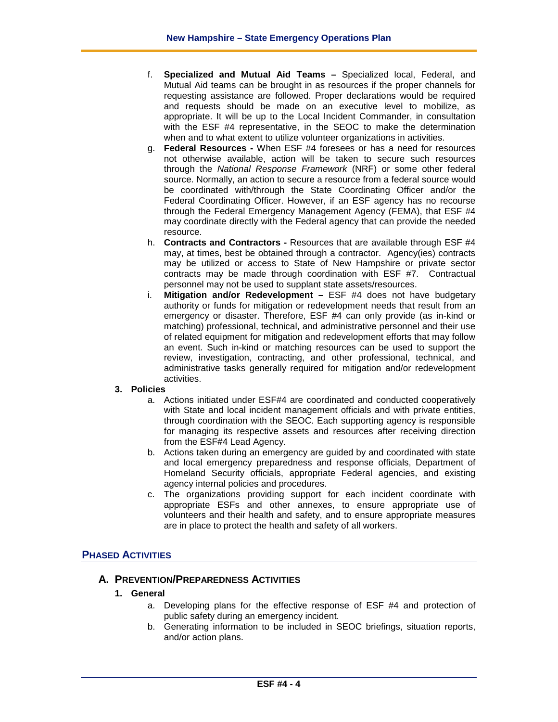- f. **Specialized and Mutual Aid Teams –** Specialized local, Federal, and Mutual Aid teams can be brought in as resources if the proper channels for requesting assistance are followed. Proper declarations would be required and requests should be made on an executive level to mobilize, as appropriate. It will be up to the Local Incident Commander, in consultation with the ESF #4 representative, in the SEOC to make the determination when and to what extent to utilize volunteer organizations in activities.
- g. **Federal Resources -** When ESF #4 foresees or has a need for resources not otherwise available, action will be taken to secure such resources through the *National Response Framework* (NRF) or some other federal source. Normally, an action to secure a resource from a federal source would be coordinated with/through the State Coordinating Officer and/or the Federal Coordinating Officer. However, if an ESF agency has no recourse through the Federal Emergency Management Agency (FEMA), that ESF #4 may coordinate directly with the Federal agency that can provide the needed resource.
- h. **Contracts and Contractors -** Resources that are available through ESF #4 may, at times, best be obtained through a contractor. Agency(ies) contracts may be utilized or access to State of New Hampshire or private sector contracts may be made through coordination with ESF #7. Contractual personnel may not be used to supplant state assets/resources.
- i. **Mitigation and/or Redevelopment –** ESF #4 does not have budgetary authority or funds for mitigation or redevelopment needs that result from an emergency or disaster. Therefore, ESF #4 can only provide (as in-kind or matching) professional, technical, and administrative personnel and their use of related equipment for mitigation and redevelopment efforts that may follow an event. Such in-kind or matching resources can be used to support the review, investigation, contracting, and other professional, technical, and administrative tasks generally required for mitigation and/or redevelopment activities.

## **3. Policies**

- a. Actions initiated under ESF#4 are coordinated and conducted cooperatively with State and local incident management officials and with private entities, through coordination with the SEOC. Each supporting agency is responsible for managing its respective assets and resources after receiving direction from the ESF#4 Lead Agency.
- b. Actions taken during an emergency are guided by and coordinated with state and local emergency preparedness and response officials, Department of Homeland Security officials, appropriate Federal agencies, and existing agency internal policies and procedures.
- c. The organizations providing support for each incident coordinate with appropriate ESFs and other annexes, to ensure appropriate use of volunteers and their health and safety, and to ensure appropriate measures are in place to protect the health and safety of all workers.

## **PHASED ACTIVITIES**

## **A. PREVENTION/PREPAREDNESS ACTIVITIES**

- **1. General**
	- a. Developing plans for the effective response of ESF #4 and protection of public safety during an emergency incident.
	- b. Generating information to be included in SEOC briefings, situation reports, and/or action plans.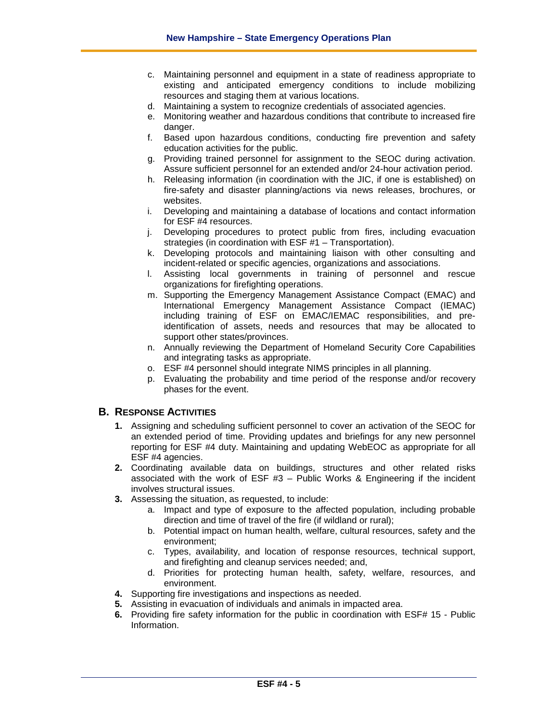- c. Maintaining personnel and equipment in a state of readiness appropriate to existing and anticipated emergency conditions to include mobilizing resources and staging them at various locations.
- d. Maintaining a system to recognize credentials of associated agencies.
- e. Monitoring weather and hazardous conditions that contribute to increased fire danger.
- f. Based upon hazardous conditions, conducting fire prevention and safety education activities for the public.
- g. Providing trained personnel for assignment to the SEOC during activation. Assure sufficient personnel for an extended and/or 24-hour activation period.
- h. Releasing information (in coordination with the JIC, if one is established) on fire-safety and disaster planning/actions via news releases, brochures, or websites.
- i. Developing and maintaining a database of locations and contact information for ESF #4 resources.
- j. Developing procedures to protect public from fires, including evacuation strategies (in coordination with ESF #1 – Transportation).
- k. Developing protocols and maintaining liaison with other consulting and incident-related or specific agencies, organizations and associations.
- l. Assisting local governments in training of personnel and rescue organizations for firefighting operations.
- m. Supporting the Emergency Management Assistance Compact (EMAC) and International Emergency Management Assistance Compact (IEMAC) including training of ESF on EMAC/IEMAC responsibilities, and preidentification of assets, needs and resources that may be allocated to support other states/provinces.
- n. Annually reviewing the Department of Homeland Security Core Capabilities and integrating tasks as appropriate.
- o. ESF #4 personnel should integrate NIMS principles in all planning.
- p. Evaluating the probability and time period of the response and/or recovery phases for the event.

## **B. RESPONSE ACTIVITIES**

- **1.** Assigning and scheduling sufficient personnel to cover an activation of the SEOC for an extended period of time. Providing updates and briefings for any new personnel reporting for ESF #4 duty. Maintaining and updating WebEOC as appropriate for all ESF #4 agencies.
- **2.** Coordinating available data on buildings, structures and other related risks associated with the work of ESF #3 – Public Works & Engineering if the incident involves structural issues.
- **3.** Assessing the situation, as requested, to include:
	- a. Impact and type of exposure to the affected population, including probable direction and time of travel of the fire (if wildland or rural);
	- b. Potential impact on human health, welfare, cultural resources, safety and the environment;
	- c. Types, availability, and location of response resources, technical support, and firefighting and cleanup services needed; and,
	- d. Priorities for protecting human health, safety, welfare, resources, and environment.
- **4.** Supporting fire investigations and inspections as needed.
- **5.** Assisting in evacuation of individuals and animals in impacted area.
- **6.** Providing fire safety information for the public in coordination with ESF# 15 Public Information.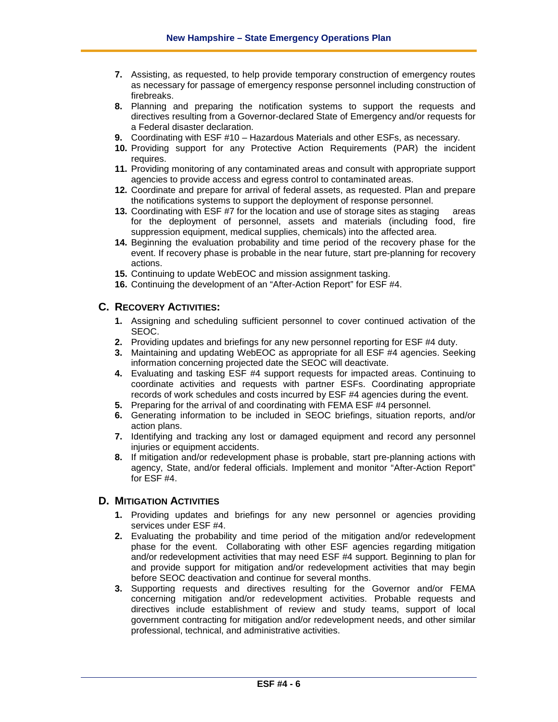- **7.** Assisting, as requested, to help provide temporary construction of emergency routes as necessary for passage of emergency response personnel including construction of firebreaks.
- **8.** Planning and preparing the notification systems to support the requests and directives resulting from a Governor-declared State of Emergency and/or requests for a Federal disaster declaration.
- **9.** Coordinating with ESF #10 Hazardous Materials and other ESFs, as necessary.
- **10.** Providing support for any Protective Action Requirements (PAR) the incident requires.
- **11.** Providing monitoring of any contaminated areas and consult with appropriate support agencies to provide access and egress control to contaminated areas.
- **12.** Coordinate and prepare for arrival of federal assets, as requested. Plan and prepare the notifications systems to support the deployment of response personnel.
- **13.** Coordinating with ESF #7 for the location and use of storage sites as staging areas for the deployment of personnel, assets and materials (including food, fire suppression equipment, medical supplies, chemicals) into the affected area.
- **14.** Beginning the evaluation probability and time period of the recovery phase for the event. If recovery phase is probable in the near future, start pre-planning for recovery actions.
- **15.** Continuing to update WebEOC and mission assignment tasking.
- **16.** Continuing the development of an "After-Action Report" for ESF #4.

# **C. RECOVERY ACTIVITIES:**

- **1.** Assigning and scheduling sufficient personnel to cover continued activation of the SEOC.
- **2.** Providing updates and briefings for any new personnel reporting for ESF #4 duty.
- **3.** Maintaining and updating WebEOC as appropriate for all ESF #4 agencies. Seeking information concerning projected date the SEOC will deactivate.
- **4.** Evaluating and tasking ESF #4 support requests for impacted areas. Continuing to coordinate activities and requests with partner ESFs. Coordinating appropriate records of work schedules and costs incurred by ESF #4 agencies during the event.
- **5.** Preparing for the arrival of and coordinating with FEMA ESF #4 personnel.
- **6.** Generating information to be included in SEOC briefings, situation reports, and/or action plans.
- **7.** Identifying and tracking any lost or damaged equipment and record any personnel injuries or equipment accidents.
- **8.** If mitigation and/or redevelopment phase is probable, start pre-planning actions with agency, State, and/or federal officials. Implement and monitor "After-Action Report" for ESF #4.

## **D. MITIGATION ACTIVITIES**

- **1.** Providing updates and briefings for any new personnel or agencies providing services under ESF #4.
- **2.** Evaluating the probability and time period of the mitigation and/or redevelopment phase for the event. Collaborating with other ESF agencies regarding mitigation and/or redevelopment activities that may need ESF #4 support. Beginning to plan for and provide support for mitigation and/or redevelopment activities that may begin before SEOC deactivation and continue for several months.
- **3.** Supporting requests and directives resulting for the Governor and/or FEMA concerning mitigation and/or redevelopment activities. Probable requests and directives include establishment of review and study teams, support of local government contracting for mitigation and/or redevelopment needs, and other similar professional, technical, and administrative activities.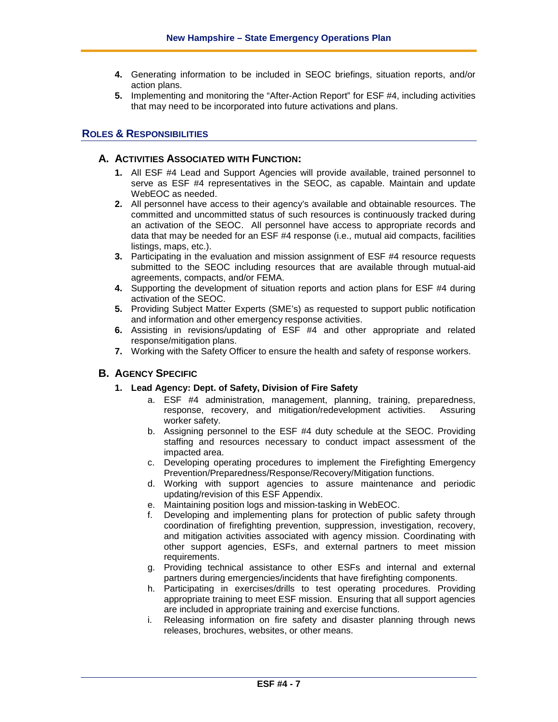- **4.** Generating information to be included in SEOC briefings, situation reports, and/or action plans.
- **5.** Implementing and monitoring the "After-Action Report" for ESF #4, including activities that may need to be incorporated into future activations and plans.

## **ROLES & RESPONSIBILITIES**

## **A. ACTIVITIES ASSOCIATED WITH FUNCTION:**

- **1.** All ESF #4 Lead and Support Agencies will provide available, trained personnel to serve as ESF #4 representatives in the SEOC, as capable. Maintain and update WebEOC as needed.
- **2.** All personnel have access to their agency's available and obtainable resources. The committed and uncommitted status of such resources is continuously tracked during an activation of the SEOC. All personnel have access to appropriate records and data that may be needed for an ESF #4 response (i.e., mutual aid compacts, facilities listings, maps, etc.).
- **3.** Participating in the evaluation and mission assignment of ESF #4 resource requests submitted to the SEOC including resources that are available through mutual-aid agreements, compacts, and/or FEMA.
- **4.** Supporting the development of situation reports and action plans for ESF #4 during activation of the SEOC.
- **5.** Providing Subject Matter Experts (SME's) as requested to support public notification and information and other emergency response activities.
- **6.** Assisting in revisions/updating of ESF #4 and other appropriate and related response/mitigation plans.
- **7.** Working with the Safety Officer to ensure the health and safety of response workers.

## **B. AGENCY SPECIFIC**

#### **1. Lead Agency: Dept. of Safety, Division of Fire Safety**

- a. ESF #4 administration, management, planning, training, preparedness, response, recovery, and mitigation/redevelopment activities. Assuring worker safety.
- b. Assigning personnel to the ESF #4 duty schedule at the SEOC. Providing staffing and resources necessary to conduct impact assessment of the impacted area.
- c. Developing operating procedures to implement the Firefighting Emergency Prevention/Preparedness/Response/Recovery/Mitigation functions.
- d. Working with support agencies to assure maintenance and periodic updating/revision of this ESF Appendix.
- e. Maintaining position logs and mission-tasking in WebEOC.
- f. Developing and implementing plans for protection of public safety through coordination of firefighting prevention, suppression, investigation, recovery, and mitigation activities associated with agency mission. Coordinating with other support agencies, ESFs, and external partners to meet mission requirements.
- g. Providing technical assistance to other ESFs and internal and external partners during emergencies/incidents that have firefighting components.
- h. Participating in exercises/drills to test operating procedures. Providing appropriate training to meet ESF mission. Ensuring that all support agencies are included in appropriate training and exercise functions.
- i. Releasing information on fire safety and disaster planning through news releases, brochures, websites, or other means.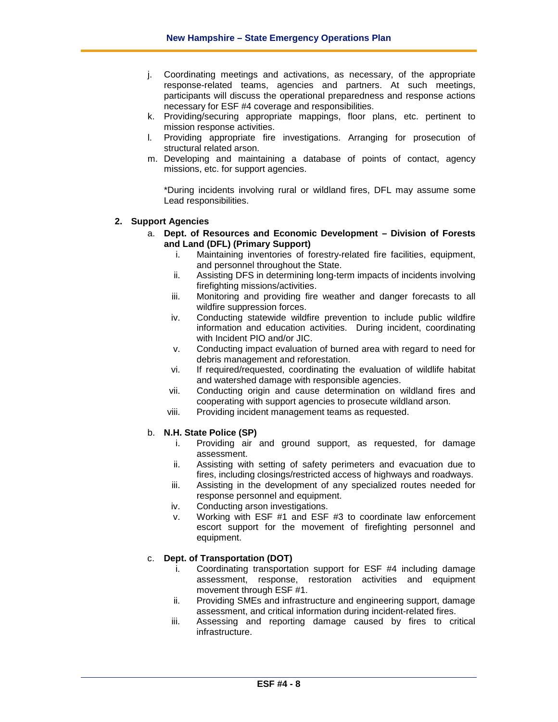- j. Coordinating meetings and activations, as necessary, of the appropriate response-related teams, agencies and partners. At such meetings, participants will discuss the operational preparedness and response actions necessary for ESF #4 coverage and responsibilities.
- k. Providing/securing appropriate mappings, floor plans, etc. pertinent to mission response activities.
- l. Providing appropriate fire investigations. Arranging for prosecution of structural related arson.
- m. Developing and maintaining a database of points of contact, agency missions, etc. for support agencies.

\*During incidents involving rural or wildland fires, DFL may assume some Lead responsibilities.

#### **2. Support Agencies**

- a. **Dept. of Resources and Economic Development – Division of Forests and Land (DFL) (Primary Support)** 
	- i. Maintaining inventories of forestry-related fire facilities, equipment, and personnel throughout the State.
	- ii. Assisting DFS in determining long-term impacts of incidents involving firefighting missions/activities.
	- iii. Monitoring and providing fire weather and danger forecasts to all wildfire suppression forces.
	- iv. Conducting statewide wildfire prevention to include public wildfire information and education activities. During incident, coordinating with Incident PIO and/or JIC.
	- v. Conducting impact evaluation of burned area with regard to need for debris management and reforestation.
	- vi. If required/requested, coordinating the evaluation of wildlife habitat and watershed damage with responsible agencies.
	- vii. Conducting origin and cause determination on wildland fires and cooperating with support agencies to prosecute wildland arson.
	- viii. Providing incident management teams as requested.

#### b. **N.H. State Police (SP)**

- i. Providing air and ground support, as requested, for damage assessment.
- ii. Assisting with setting of safety perimeters and evacuation due to fires, including closings/restricted access of highways and roadways.
- iii. Assisting in the development of any specialized routes needed for response personnel and equipment.
- iv. Conducting arson investigations.
- v. Working with ESF #1 and ESF #3 to coordinate law enforcement escort support for the movement of firefighting personnel and equipment.

#### c. **Dept. of Transportation (DOT)**

- i. Coordinating transportation support for ESF #4 including damage assessment, response, restoration activities and equipment movement through ESF #1.
- ii. Providing SMEs and infrastructure and engineering support, damage assessment, and critical information during incident-related fires.
- iii. Assessing and reporting damage caused by fires to critical infrastructure.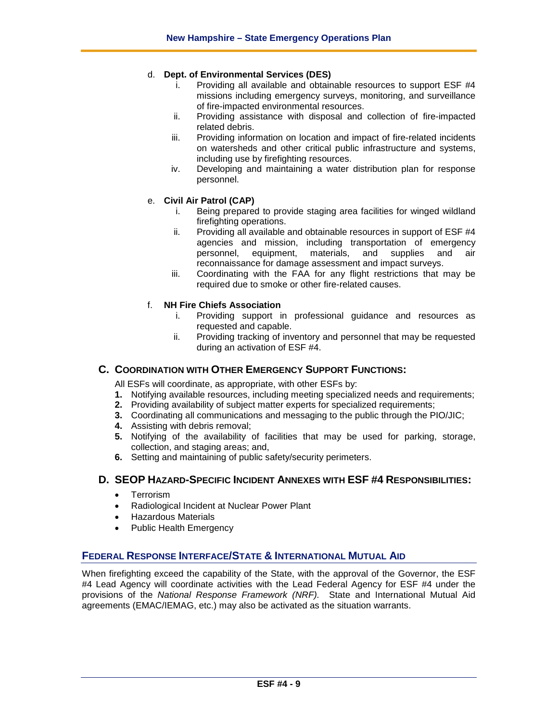#### d. **Dept. of Environmental Services (DES)**

- i. Providing all available and obtainable resources to support ESF #4 missions including emergency surveys, monitoring, and surveillance of fire-impacted environmental resources.
- ii. Providing assistance with disposal and collection of fire-impacted related debris.
- iii. Providing information on location and impact of fire-related incidents on watersheds and other critical public infrastructure and systems, including use by firefighting resources.
- iv. Developing and maintaining a water distribution plan for response personnel.

#### e. **Civil Air Patrol (CAP)**

- i. Being prepared to provide staging area facilities for winged wildland firefighting operations.
- ii. Providing all available and obtainable resources in support of ESF #4 agencies and mission, including transportation of emergency personnel, equipment, materials, and supplies and air reconnaissance for damage assessment and impact surveys.
- iii. Coordinating with the FAA for any flight restrictions that may be required due to smoke or other fire-related causes.

#### f. **NH Fire Chiefs Association**

- i. Providing support in professional guidance and resources as requested and capable.
- ii. Providing tracking of inventory and personnel that may be requested during an activation of ESF #4.

## **C. COORDINATION WITH OTHER EMERGENCY SUPPORT FUNCTIONS:**

All ESFs will coordinate, as appropriate, with other ESFs by:

- **1.** Notifying available resources, including meeting specialized needs and requirements;
- **2.** Providing availability of subject matter experts for specialized requirements;
- **3.** Coordinating all communications and messaging to the public through the PIO/JIC;
- **4.** Assisting with debris removal;
- **5.** Notifying of the availability of facilities that may be used for parking, storage, collection, and staging areas; and,
- **6.** Setting and maintaining of public safety/security perimeters.

## **D. SEOP HAZARD-SPECIFIC INCIDENT ANNEXES WITH ESF #4 RESPONSIBILITIES:**

- Terrorism
- Radiological Incident at Nuclear Power Plant
- Hazardous Materials
- Public Health Emergency

#### **FEDERAL RESPONSE INTERFACE/STATE & INTERNATIONAL MUTUAL AID**

When firefighting exceed the capability of the State, with the approval of the Governor, the ESF #4 Lead Agency will coordinate activities with the Lead Federal Agency for ESF #4 under the provisions of the *National Response Framework (NRF).* State and International Mutual Aid agreements (EMAC/IEMAG, etc.) may also be activated as the situation warrants.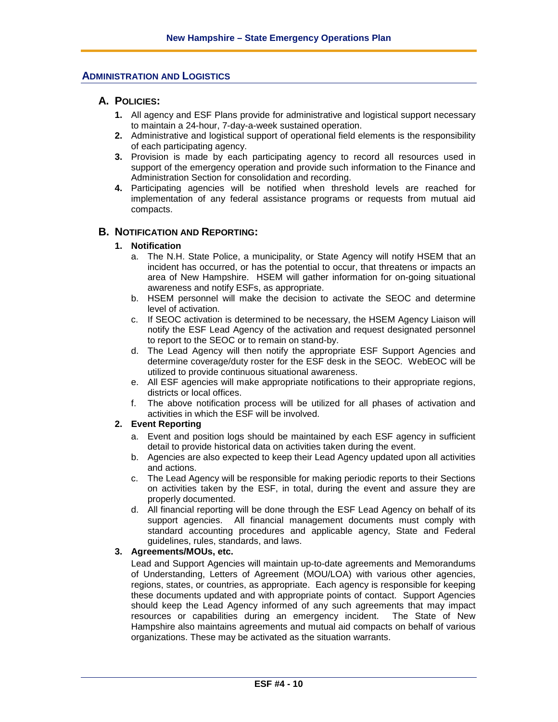## **ADMINISTRATION AND LOGISTICS**

## **A. POLICIES:**

- **1.** All agency and ESF Plans provide for administrative and logistical support necessary to maintain a 24-hour, 7-day-a-week sustained operation.
- **2.** Administrative and logistical support of operational field elements is the responsibility of each participating agency.
- **3.** Provision is made by each participating agency to record all resources used in support of the emergency operation and provide such information to the Finance and Administration Section for consolidation and recording.
- **4.** Participating agencies will be notified when threshold levels are reached for implementation of any federal assistance programs or requests from mutual aid compacts.

#### **B. NOTIFICATION AND REPORTING:**

#### **1. Notification**

- a. The N.H. State Police, a municipality, or State Agency will notify HSEM that an incident has occurred, or has the potential to occur, that threatens or impacts an area of New Hampshire. HSEM will gather information for on-going situational awareness and notify ESFs, as appropriate.
- b. HSEM personnel will make the decision to activate the SEOC and determine level of activation.
- c. If SEOC activation is determined to be necessary, the HSEM Agency Liaison will notify the ESF Lead Agency of the activation and request designated personnel to report to the SEOC or to remain on stand-by.
- d. The Lead Agency will then notify the appropriate ESF Support Agencies and determine coverage/duty roster for the ESF desk in the SEOC. WebEOC will be utilized to provide continuous situational awareness.
- e. All ESF agencies will make appropriate notifications to their appropriate regions, districts or local offices.
- f. The above notification process will be utilized for all phases of activation and activities in which the ESF will be involved.

### **2. Event Reporting**

- a. Event and position logs should be maintained by each ESF agency in sufficient detail to provide historical data on activities taken during the event.
- b. Agencies are also expected to keep their Lead Agency updated upon all activities and actions.
- c. The Lead Agency will be responsible for making periodic reports to their Sections on activities taken by the ESF, in total, during the event and assure they are properly documented.
- d. All financial reporting will be done through the ESF Lead Agency on behalf of its support agencies. All financial management documents must comply with standard accounting procedures and applicable agency, State and Federal guidelines, rules, standards, and laws.

## **3. Agreements/MOUs, etc.**

Lead and Support Agencies will maintain up-to-date agreements and Memorandums of Understanding, Letters of Agreement (MOU/LOA) with various other agencies, regions, states, or countries, as appropriate. Each agency is responsible for keeping these documents updated and with appropriate points of contact. Support Agencies should keep the Lead Agency informed of any such agreements that may impact resources or capabilities during an emergency incident. The State of New Hampshire also maintains agreements and mutual aid compacts on behalf of various organizations. These may be activated as the situation warrants.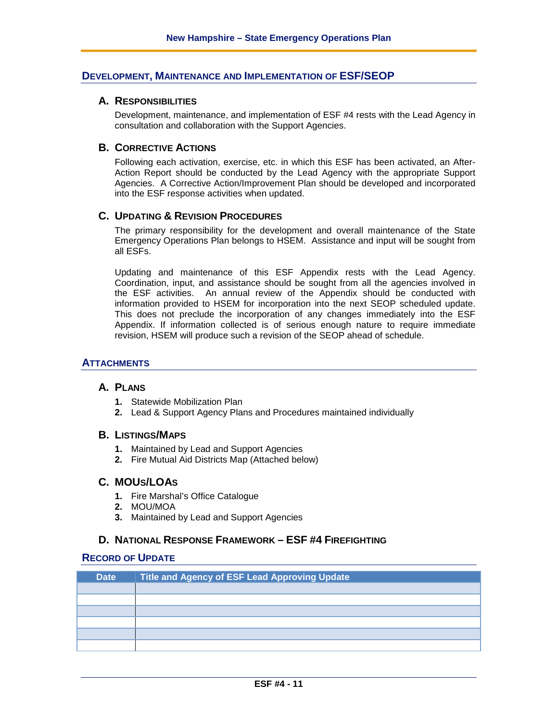## **DEVELOPMENT, MAINTENANCE AND IMPLEMENTATION OF ESF/SEOP**

## **A. RESPONSIBILITIES**

Development, maintenance, and implementation of ESF #4 rests with the Lead Agency in consultation and collaboration with the Support Agencies.

#### **B. CORRECTIVE ACTIONS**

Following each activation, exercise, etc. in which this ESF has been activated, an After-Action Report should be conducted by the Lead Agency with the appropriate Support Agencies. A Corrective Action/Improvement Plan should be developed and incorporated into the ESF response activities when updated.

## **C. UPDATING & REVISION PROCEDURES**

The primary responsibility for the development and overall maintenance of the State Emergency Operations Plan belongs to HSEM. Assistance and input will be sought from all ESFs.

Updating and maintenance of this ESF Appendix rests with the Lead Agency. Coordination, input, and assistance should be sought from all the agencies involved in the ESF activities. An annual review of the Appendix should be conducted with information provided to HSEM for incorporation into the next SEOP scheduled update. This does not preclude the incorporation of any changes immediately into the ESF Appendix. If information collected is of serious enough nature to require immediate revision, HSEM will produce such a revision of the SEOP ahead of schedule.

## **ATTACHMENTS**

#### **A. PLANS**

- **1.** Statewide Mobilization Plan
- **2.** Lead & Support Agency Plans and Procedures maintained individually

#### **B. LISTINGS/MAPS**

- **1.** Maintained by Lead and Support Agencies
- **2.** Fire Mutual Aid Districts Map (Attached below)

## **C. MOUS/LOAS**

- **1.** Fire Marshal's Office Catalogue
- **2.** MOU/MOA
- **3.** Maintained by Lead and Support Agencies

## **D. NATIONAL RESPONSE FRAMEWORK – ESF #4 FIREFIGHTING**

#### **RECORD OF UPDATE**

| <b>Date</b> | Title and Agency of ESF Lead Approving Update |
|-------------|-----------------------------------------------|
|             |                                               |
|             |                                               |
|             |                                               |
|             |                                               |
|             |                                               |
|             |                                               |